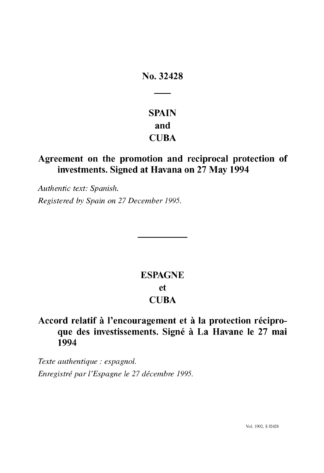# No. 32428

# SPAIN and **CUBA**

# Agreement on the promotion and reciprocal protection of investments. Signed at Havana on 27 May 1994

Authentic text: Spanish. Registered by Spain on 27 December 1995.

# ESPAGNE et **CUBA**

# Accord relatif à l'encouragement et à la protection réciproque des investissements. Signé à La Havane le 27 mai 1994

Texte authentique : espagnol. Enregistré par l'Espagne le 27 décembre 1995.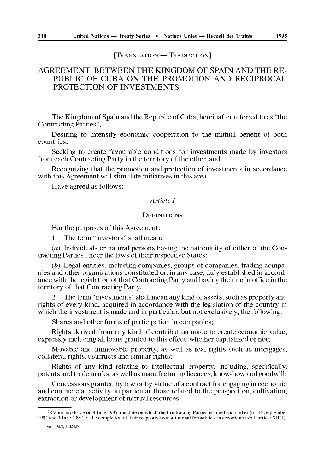$[TRANSLATION - TRADUCTION]$ 

# AGREEMENT' BETWEEN THE KINGDOM OF SPAIN AND THE RE-PUBLIC OF CUBA ON THE PROMOTION AND RECIPROCAL PROTECTION OF INVESTMENTS

The Kingdom of Spain and the Republic of Cuba, hereinafter referred to as "the Contracting Parties",

Desiring to intensify economic cooperation to the mutual benefit of both countries,

Seeking to create favourable conditions for investments made by investors from each Contracting Party in the territory of the other, and

Recognizing that the promotion and protection of investments in accordance with this Agreement will stimulate initiatives in this area,

Have agreed as follows :

#### Article I

## **DEFINITIONS**

For the purposes of this Agreement:

1. The term "investors" shall mean:

( $a$ ) Individuals or natural persons having the nationality of either of the Contracting Parties under the laws of their respective States ;

 $(b)$  Legal entities, including companies, groups of companies, trading companies and other organizations constituted or, in any case, duly established in accordance with the legislation of that Contracting Party and having their main office in the territory of that Contracting Party.

2. The term "investments" shall mean any kind of assets, such as property and rights of every kind, acquired in accordance with the legislation of the country in which the investment is made and in particular, but not exclusively, the following:

Shares and other forms of participation in companies;

Rights derived from any kind of contribution made to create economic value, expressly including all loans granted to this effect, whether capitalized or not;

Movable and immovable property, as well as real rights such as mortgages, collateral rights, usufructs and similar rights ;

Rights of any kind relating to intellectual property, including, specifically, patents and trade marks, as well as manufacturing licences, know-how and goodwill ;

Concessions granted by law or by virtue of a contract for engaging in economic and commercial activity, in particular those related to the prospection, cultivation, extraction or development of natural resources .

<sup>&</sup>lt;sup>1</sup> Came into force on 9 June 1995, the date on which the Contracting Parties notified each other (on 15 September 1994 and 9 June 1995) of the completion of their respective constitutional formalities, in accordance with

Vol. 1902, I-32428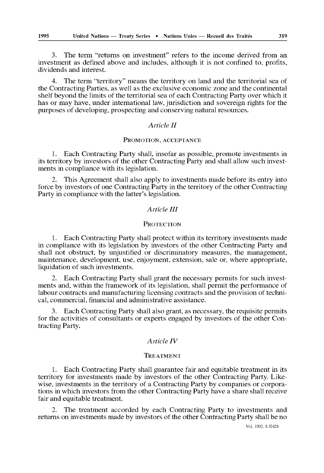3. The term "returns on investment" refers to the income derived from an investment as defined above and includes, although it is not confined to, profits, dividends and interest.

4. The term "territory" means the territory on land and the territorial sea of the Contracting Parties, as well as the exclusive economic zone and the continental shelf beyond the limits of the territorial sea of each Contracting Party over which it has or may have, under international law, jurisdiction and sovereign rights for the purposes of developing, prospecting and conserving natural resources .

# Article II

# PROMOTION, ACCEPTANCE

<sup>1</sup> . Each Contracting Party shall, insofar as possible, promote investments in its territory by investors of the other Contracting Party and shall allow such investments in compliance with its legislation.

2. 'Mis Agreement shall also apply to investments made before its entry into force by investors of one Contracting Party in the territory of the other Contracting Party in compliance with the latter's legislation.

# Article III

#### **PROTECTION**

<sup>1</sup> . Each Contracting Party shall protect within its territory investments made in compliance with its legislation by investors of the other Contracting Party and shall not obstruct, by unjustified or discriminatory measures, the management, maintenance, development, use, enjoyment, extension, sale or, where appropriate, liquidation of such investments.

2. Each Contracting Party shall grant the necessary permits for such investments and, within the framework of its legislation, shall permit the performance of labour contracts and manufacturing licensing contracts and the provision of technical, commercial, financial and administrative assistance .

<sup>3</sup> . Each Contracting Party shall also grant, as necessary, the requisite permits for the activities of consultants or experts engaged by investors of the other Contracting Party.

## Article IV

#### TREATMENT

1. Each Contracting Party shall guarantee fair and equitable treatment in its territory for investments made by investors of the other Contracting Party . Likewise, investments in the territory of a Contracting Party by companies or corporations in which investors from the other Contracting Party have a share shall receive fair and equitable treatment.

2. 'Me treatment accorded by each Contracting Party to investments and returns on investments made by investors of the other Contracting Party shall be no

Vol. 1902, 1-32428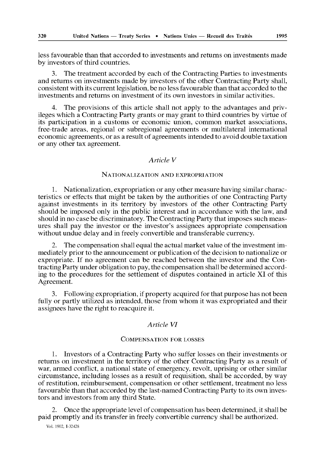less favourable than that accorded to investments and returns on investments made by investors of third countries.

3. The treatment accorded by each of the Contracting Parties to investments and returns on investments made by investors of the other Contracting Party shall, consistent with its current legislation, be no less favourable than that accorded to the investments and returns on investment of its own investors in similar activities .

4. The provisions of this article shall not apply to the advantages and privileges which a Contracting Party grants or may grant to third countries by virtue of its participation in a customs or economic union, common market associations, free-trade areas, regional or subregional agreements or multilateral international economic agreements, or as a result of agreements intended to avoid double taxation or any other tax agreement.

# Article V

#### NATIONALIZATION AND EXPROPRIATION

<sup>1</sup> . Nationalization, expropriation or any other measure having similar characteristics or effects that might be taken by the authorities of one Contracting Party against investments in its territory by investors of the other Contracting Party should be imposed only in the public interest and in accordance with the law, and should in no case be discriminatory . The Contracting Party that imposes such measures shall pay the investor or the investor's assignes appropriate compensation without undue delay and in freely convertible and transferable currency.

2. The compensation shall equal the actual market value of the investment immediately prior to the announcement or publication of the decision to nationalize or expropriate. If no agreement can be reached between the investor and the Contracting Party under obligation to pay, the compensation shall be determined according to the procedures for the settlement of disputes contained in article XI of this Agreement.

<sup>3</sup> . Following expropriation, if property acquired for that purpose has not been fully or partly utilized as intended, those from whom it was expropriated and their assignes have the right to reacquire it .

#### Article VI

#### COMPENSATION FOR LOSSES

<sup>1</sup> . Investors of a Contracting Party who suffer losses on their investments or returns on investment in the territory of the other Contracting Party as a result of war, armed conflict, a national state of emergency, revolt, uprising or other similar circumstance, including losses as a result of requisition, shall be accorded, by way of restitution, reimbursement, compensation or other settlement, treatment no less favourable than that accorded by the last-named Contracting Party to its own investors and investors from any third State.

2. Once the appropriate level of compensation has been determined, it shall be paid promptly and its transfer in freely convertible currency shall be authorized .

Vol. 1902, I-32428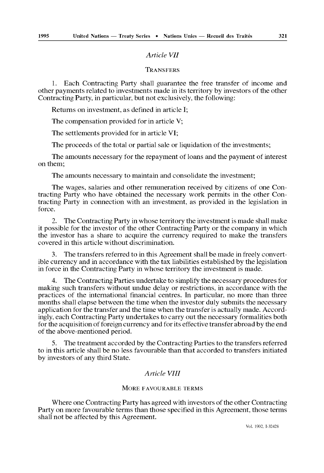#### Article VII

#### **TRANSFERS**

1. Each Contracting Party shall guarantee the free transfer of income and other payments related to investments made in its territory by investors of the other Contracting Party, in particular, but not exclusively, the following :

Returns on investment, as defined in article I;

The compensation provided for in article V;

The settlements provided for in article VI;

The proceeds of the total or partial sale or liquidation of the investments;

The amounts necessary for the repayment of loans and the payment of interest on them;

The amounts necessary to maintain and consolidate the investment;

The wages, salaries and other remuneration received by citizens of one Contracting Party who have obtained the necessary work permits in the other Contracting Party in connection with an investment, as provided in the legislation in force.

2. The Contracting Party in whose territory the investment is made shall make it possible for the investor of the other Contracting Party or the company in which the investor has a share to acquire the currency required to make the transfers covered in this article without discrimination .

3. The transfers referred to in this Agreement shall be made in freely convertible currency and in accordance with the tax liabilities established by the legislation in force in the Contracting Party in whose territory the investment is made .

4. 'Me Contracting Parties undertake to simplify the necessary procedures for making such transfers without undue delay or restrictions, in accordance with the practices of the international financial centres . In particular, no more than three months shall elapse between the time when the investor duly submits the necessary application for the transfer and the time when the transfer is actually made . Accordingly, each Contracting Party undertakes to carry out the necessary formalities both for the acquisition of foreign currency and for its effective transfer abroad by the end of the above-mentioned period.

5. The treatment accorded by the Contracting Parties to the transfers referred to in this article shall be no less favourable than that accorded to transfers initiated by investors of any third State.

## Article VIII

#### MORE FAVOURABLE TERMS

Where one Contracting Party has agreed with investors of the other Contracting Party on more favourable terras than those specified in this Agreement, those terras shall not be affected by this Agreement.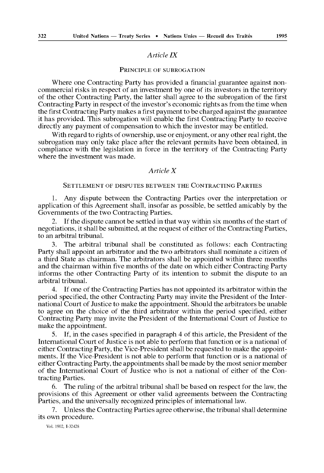#### Article IX

#### PRINCIPLE OF SUBROGATION

Where one Contracting Party has provided a financial guarantee against noncommercial risks in respect of an investment by one of its investors in the territory of the other Contracting Party, the latter shall agree to the subrogation of the first Contracting Party in respect of the investor's economic rights as from the time when the first Contracting Party makes a first payment to be charged against the guarantee it has provided. This subrogation will enable the first Contracting Party to receive directly any payment of compensation to which the investor may be entitled.

With regard to rights of ownership, use or enjoyment, or any other real right, the subrogation may only take place after the relevant permits have been obtained, in compliance with the legislation in force in the territory of the Contracting Party where the investment was made.

#### Article X

#### SETTLEMENT OF DISPUTES BETWEEN THE CONTRACTING PARTIES

<sup>1</sup> . Any dispute between the Contracting Parties over the interpretation or application of this Agreement shall, insofar as possible, be settled amicably by the Governments of the two Contracting Parties .

2. If the dispute cannot be settled in that way within six months of the start of negotiations, it shall be submitted, at the request of either of the Contracting Parties, to an arbitral tribunal.

3. The arbitral tribunal shall be constituted as follows: each Contracting Party shall appoint an arbitrator and the two arbitrators shall nominate a citizen of a third State as chairman. The arbitrators shall be appointed within three months and the chairman within five months of the date on which either Contracting Party informs the other Contracting Party of its intention to submit the dispute to an arbitral tribunal.

If one of the Contracting Parties has not appointed its arbitrator within the period specified, the other Contracting Party may invite the President of the International Court of Justice to make the appointment. Should the arbitrators be unable to agree on the choice of the third arbitrator within the period specified, either Contracting Party may invite the President of the International Court of ustice to make the appointment.

5 . If, in the cases specified in paragraph 4 of this article, the President of the International Court of Justice is not able to perform that function or is a national of either Contracting Party, the Vice-President shall be requested to make the appointments. If the Vice-President is not able to perform that function or is a national of either Contracting Party, the appointments shall be made by the mort senior member of the International Court of ustice who is not a national of either of the Contracting Parties.

6 . 'Me ruling of the arbitral tribunal shall be based on respect for the law, the provisions of this Agreement or other valid agreements between the Contracting Parties, and the universally recognized principles of international law.

7. Unless the Contracting Parties agree otherwise, the tribunal shall determine its own procedure.

Vol. 1902, I-32428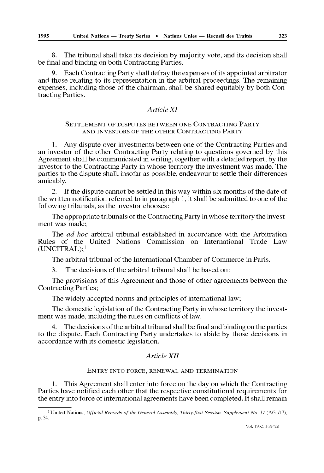8. The tribunal shall take its decision by majority vote, and its decision shall be final and binding on both Contracting Parties.

9 . Each Contracting Party shall defray the expenses of its appointed arbitrator and those relating to its representation in the arbitral proceedings . The remaining expenses, including those of the chairman, shall be shared equitably by both Contracting Parties.

## Article XI

#### SETTLEMENT OF DISPUTES BETWEEN ONE CONTRACTING PARTY AND INVESTORS OF THE OTHER CONTRACTING PARTY

1. Any dispute over investments between one of the Contracting Parties and an investor of the other Contracting Party relating to questions governed by this Agreement shall be communicated in writing, together with a detailed report, by the investor to the Contracting Party in whose territory the investment was made . The parties to the dispute shall, insofar as possible, endeavour to settle their differences amicably.

2. If the dispute cannot be settled in this way within six months of the date of the written notification referred to in paragraph 1, it shall be submitted to one of the following tribunals, as the investor chooses:

The appropriate tribunals of the Contracting Party in whose territory the investment was made;

The *ad hoc* arbitral tribunal established in accordance with the Arbitration Rules of the United Nations Commission on International Trade Law  $(UNCITRAL);$ <sup>1</sup>

The arbitral tribunal of the International Chamber of Commerce in Paris.

3. The decisions of the arbitral tribunal shall be based on:

The provisions of this Agreement and those of other agreements between the Contracting Parties;

The widely accepted norms and principles of international law;

The domestic legislation of the Contracting Party in whose territory the investment was made, including the rules on conflicts of law.

The decisions of the arbitral tribunal shall be final and binding on the parties to the dispute. Each Contracting Party undertakes to abide by those decisions in accordance with its domestic legislation.

#### Article XII

#### ENTRY INTO FORCE, RENEWAL AND TERMINATION

1. This Agreement shall enter into force on the day on which the Contracting Parties have notified each other that the respective constitutional requirements for the entry into force of international agreements have been completed. It shall remain

Vol. 1902, 1-32428

<sup>&</sup>lt;sup>1</sup> United Nations, Official Records of the General Assembly, Thirty-first Session, Supplement No. 17 (A/31/17), p. 34.